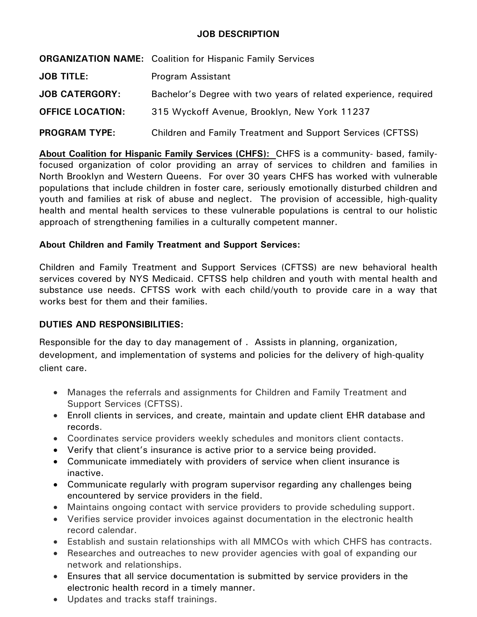## **JOB DESCRIPTION**

|                         | <b>ORGANIZATION NAME:</b> Coalition for Hispanic Family Services  |
|-------------------------|-------------------------------------------------------------------|
| <b>JOB TITLE:</b>       | Program Assistant                                                 |
| <b>JOB CATERGORY:</b>   | Bachelor's Degree with two years of related experience, required  |
| <b>OFFICE LOCATION:</b> | 315 Wyckoff Avenue, Brooklyn, New York 11237                      |
| <b>PROGRAM TYPE:</b>    | <b>Children and Family Treatment and Support Services (CFTSS)</b> |

**About Coalition for Hispanic Family Services (CHFS):** CHFS is a community- based, familyfocused organization of color providing an array of services to children and families in North Brooklyn and Western Queens. For over 30 years CHFS has worked with vulnerable populations that include children in foster care, seriously emotionally disturbed children and youth and families at risk of abuse and neglect. The provision of accessible, high-quality health and mental health services to these vulnerable populations is central to our holistic approach of strengthening families in a culturally competent manner.

## **About Children and Family Treatment and Support Services:**

Children and Family Treatment and Support Services (CFTSS) are new behavioral health services covered by NYS Medicaid. CFTSS help children and youth with mental health and substance use needs. CFTSS work with each child/youth to provide care in a way that works best for them and their families.

# **DUTIES AND RESPONSIBILITIES:**

Responsible for the day to day management of . Assists in planning, organization, development, and implementation of systems and policies for the delivery of high-quality client care.

- Manages the referrals and assignments for Children and Family Treatment and Support Services (CFTSS).
- Enroll clients in services, and create, maintain and update client EHR database and records.
- Coordinates service providers weekly schedules and monitors client contacts.
- Verify that client's insurance is active prior to a service being provided.
- Communicate immediately with providers of service when client insurance is inactive.
- Communicate regularly with program supervisor regarding any challenges being encountered by service providers in the field.
- Maintains ongoing contact with service providers to provide scheduling support.
- Verifies service provider invoices against documentation in the electronic health record calendar.
- Establish and sustain relationships with all MMCOs with which CHFS has contracts.
- Researches and outreaches to new provider agencies with goal of expanding our network and relationships.
- Ensures that all service documentation is submitted by service providers in the electronic health record in a timely manner.
- Updates and tracks staff trainings.